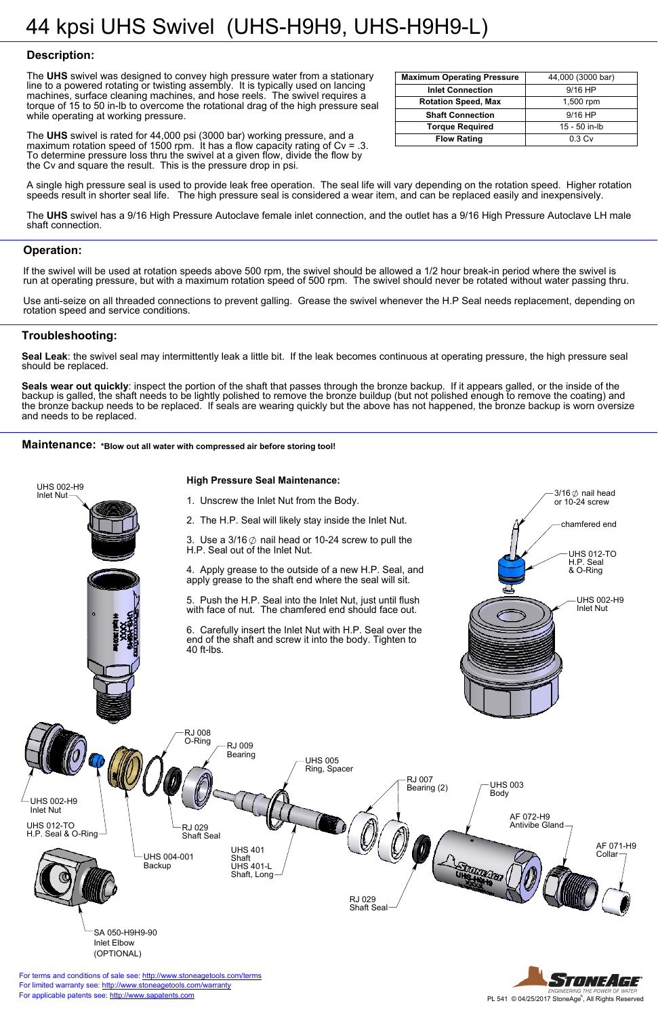





**Publicable patents see:<http://www.sapatents.com> Exercise All Rights Reserved** For applicable patents see: http://www.sapatents.com **For applicable patents see: http://www.sapatents.com** For terms and conditions of sale see: <http://www.stoneagetools.com/terms> For limited warranty see:<http://www.stoneagetools.com/warranty>



## **Troubleshooting:**

**Seal Leak**: the swivel seal may intermittently leak a little bit. If the leak becomes continuous at operating pressure, the high pressure seal should be replaced.

**Seals wear out quickly**: inspect the portion of the shaft that passes through the bronze backup. If it appears galled, or the inside of the backup is galled, the shaft needs to be lightly polished to remove the bronze buildup (but not polished enough to remove the coating) and the bronze backup needs to be replaced. If seals are wearing quickly but the above has not happened, the bronze backup is worn oversize and needs to be replaced.

**Maintenance:** \*Blow out all water with compressed air before storing tool!

#### **Operation:**

If the swivel will be used at rotation speeds above 500 rpm, the swivel should be allowed a 1/2 hour break-in period where the swivel is run at operating pressure, but with a maximum rotation speed of 500 rpm. The swivel should never be rotated without water passing thru.

Use anti-seize on all threaded connections to prevent galling. Grease the swivel whenever the H.P Seal needs replacement, depending on rotation speed and service conditions.

## **Description:**

The **UHS** swivel was designed to convey high pressure water from a stationary line to a powered rotating or twisting assembly. It is typically used on lancing machines, surface cleaning machines, and hose reels. The swivel requires a torque of 15 to 50 in-lb to overcome the rotational drag of the high pressure seal while operating at working pressure.

The **UHS** swivel is rated for 44,000 psi (3000 bar) working pressure, and a maximum rotation speed of 1500 rpm. It has a flow capacity rating of  $Cv = 0.3$ . To determine pressure loss thru the swivel at a given flow, divide the flow by the Cv and square the result. This is the pressure drop in psi.

A single high pressure seal is used to provide leak free operation. The seal life will vary depending on the rotation speed. Higher rotation speeds result in shorter seal life. The high pressure seal is considered a wear item, and can be replaced easily and inexpensively.

The **UHS** swivel has a 9/16 High Pressure Autoclave female inlet connection, and the outlet has a 9/16 High Pressure Autoclave LH male shaft connection.

| <b>Maximum Operating Pressure</b> | 44,000 (3000 bar) |
|-----------------------------------|-------------------|
| <b>Inlet Connection</b>           | $9/16$ HP         |
| <b>Rotation Speed, Max</b>        | 1,500 rpm         |
| <b>Shaft Connection</b>           | $9/16$ HP         |
| <b>Torque Required</b>            | 15 - 50 in-lb     |
| <b>Flow Rating</b>                | 0.3 <sub>Cv</sub> |